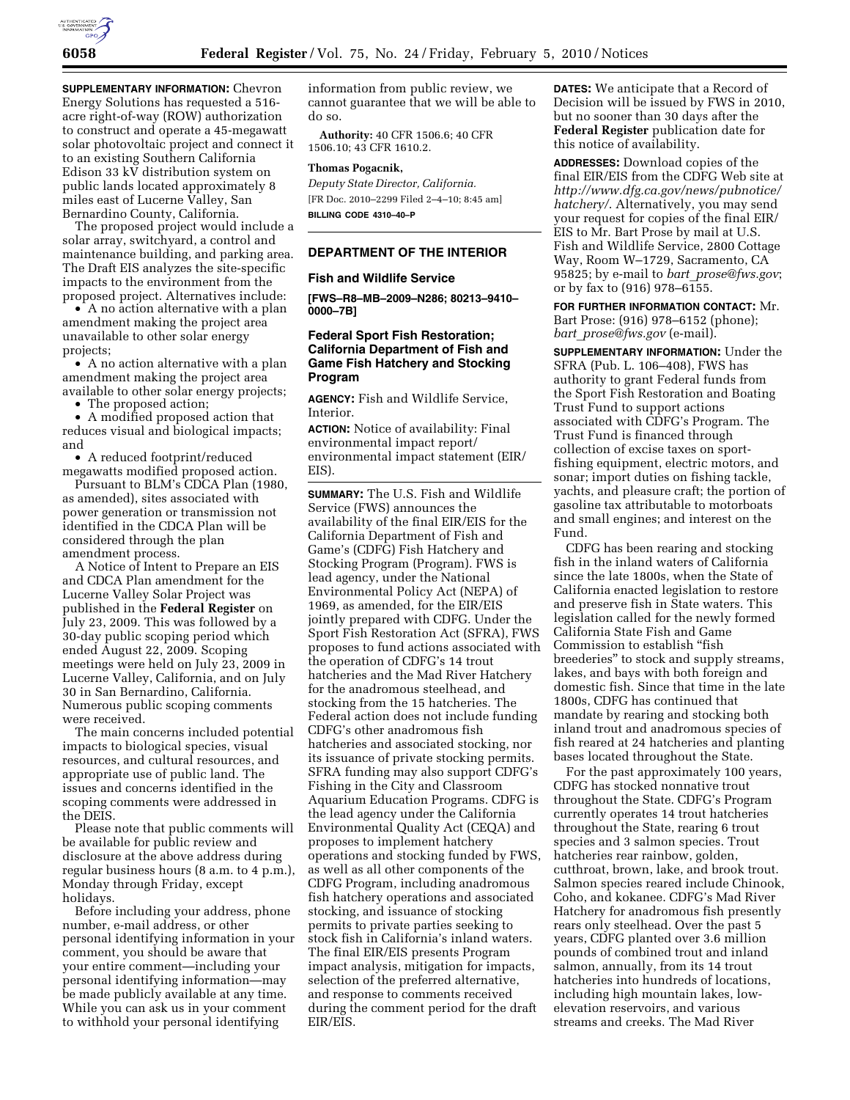

**SUPPLEMENTARY INFORMATION:** Chevron Energy Solutions has requested a 516 acre right-of-way (ROW) authorization to construct and operate a 45-megawatt solar photovoltaic project and connect it to an existing Southern California Edison 33 kV distribution system on public lands located approximately 8 miles east of Lucerne Valley, San Bernardino County, California.

The proposed project would include a solar array, switchyard, a control and maintenance building, and parking area. The Draft EIS analyzes the site-specific impacts to the environment from the proposed project. Alternatives include:

• A no action alternative with a plan amendment making the project area unavailable to other solar energy projects;

• A no action alternative with a plan amendment making the project area available to other solar energy projects;

• The proposed action;

• A modified proposed action that reduces visual and biological impacts; and

• A reduced footprint/reduced megawatts modified proposed action.

Pursuant to BLM's CDCA Plan (1980, as amended), sites associated with power generation or transmission not identified in the CDCA Plan will be considered through the plan amendment process.

A Notice of Intent to Prepare an EIS and CDCA Plan amendment for the Lucerne Valley Solar Project was published in the **Federal Register** on July 23, 2009. This was followed by a 30-day public scoping period which ended August 22, 2009. Scoping meetings were held on July 23, 2009 in Lucerne Valley, California, and on July 30 in San Bernardino, California. Numerous public scoping comments were received.

The main concerns included potential impacts to biological species, visual resources, and cultural resources, and appropriate use of public land. The issues and concerns identified in the scoping comments were addressed in the DEIS.

Please note that public comments will be available for public review and disclosure at the above address during regular business hours (8 a.m. to 4 p.m.), Monday through Friday, except holidays.

Before including your address, phone number, e-mail address, or other personal identifying information in your comment, you should be aware that your entire comment—including your personal identifying information—may be made publicly available at any time. While you can ask us in your comment to withhold your personal identifying

information from public review, we cannot guarantee that we will be able to do so.

**Authority:** 40 CFR 1506.6; 40 CFR 1506.10; 43 CFR 1610.2.

## **Thomas Pogacnik,**

*Deputy State Director, California.*  [FR Doc. 2010–2299 Filed 2–4–10; 8:45 am] **BILLING CODE 4310–40–P** 

## **DEPARTMENT OF THE INTERIOR**

### **Fish and Wildlife Service**

**[FWS–R8–MB–2009–N286; 80213–9410– 0000–7B]** 

## **Federal Sport Fish Restoration; California Department of Fish and Game Fish Hatchery and Stocking Program**

**AGENCY:** Fish and Wildlife Service, Interior.

**ACTION:** Notice of availability: Final environmental impact report/ environmental impact statement (EIR/ EIS).

**SUMMARY:** The U.S. Fish and Wildlife Service (FWS) announces the availability of the final EIR/EIS for the California Department of Fish and Game's (CDFG) Fish Hatchery and Stocking Program (Program). FWS is lead agency, under the National Environmental Policy Act (NEPA) of 1969, as amended, for the EIR/EIS jointly prepared with CDFG. Under the Sport Fish Restoration Act (SFRA), FWS proposes to fund actions associated with the operation of CDFG's 14 trout hatcheries and the Mad River Hatchery for the anadromous steelhead, and stocking from the 15 hatcheries. The Federal action does not include funding CDFG's other anadromous fish hatcheries and associated stocking, nor its issuance of private stocking permits. SFRA funding may also support CDFG's Fishing in the City and Classroom Aquarium Education Programs. CDFG is the lead agency under the California Environmental Quality Act (CEQA) and proposes to implement hatchery operations and stocking funded by FWS, as well as all other components of the CDFG Program, including anadromous fish hatchery operations and associated stocking, and issuance of stocking permits to private parties seeking to stock fish in California's inland waters. The final EIR/EIS presents Program impact analysis, mitigation for impacts, selection of the preferred alternative, and response to comments received during the comment period for the draft EIR/EIS.

**DATES:** We anticipate that a Record of Decision will be issued by FWS in 2010, but no sooner than 30 days after the **Federal Register** publication date for this notice of availability.

**ADDRESSES:** Download copies of the final EIR/EIS from the CDFG Web site at *http://www.dfg.ca.gov/news/pubnotice/ hatchery/*. Alternatively, you may send your request for copies of the final EIR/ EIS to Mr. Bart Prose by mail at U.S. Fish and Wildlife Service, 2800 Cottage Way, Room W–1729, Sacramento, CA 95825; by e-mail to *bart*\_*prose@fws.gov*; or by fax to (916) 978–6155.

**FOR FURTHER INFORMATION CONTACT:** Mr. Bart Prose: (916) 978–6152 (phone); *bart*\_*prose@fws.gov* (e-mail).

**SUPPLEMENTARY INFORMATION:** Under the SFRA (Pub. L. 106–408), FWS has authority to grant Federal funds from the Sport Fish Restoration and Boating Trust Fund to support actions associated with CDFG's Program. The Trust Fund is financed through collection of excise taxes on sportfishing equipment, electric motors, and sonar; import duties on fishing tackle, yachts, and pleasure craft; the portion of gasoline tax attributable to motorboats and small engines; and interest on the Fund.

CDFG has been rearing and stocking fish in the inland waters of California since the late 1800s, when the State of California enacted legislation to restore and preserve fish in State waters. This legislation called for the newly formed California State Fish and Game Commission to establish ''fish breederies'' to stock and supply streams, lakes, and bays with both foreign and domestic fish. Since that time in the late 1800s, CDFG has continued that mandate by rearing and stocking both inland trout and anadromous species of fish reared at 24 hatcheries and planting bases located throughout the State.

For the past approximately 100 years, CDFG has stocked nonnative trout throughout the State. CDFG's Program currently operates 14 trout hatcheries throughout the State, rearing 6 trout species and 3 salmon species. Trout hatcheries rear rainbow, golden, cutthroat, brown, lake, and brook trout. Salmon species reared include Chinook, Coho, and kokanee. CDFG's Mad River Hatchery for anadromous fish presently rears only steelhead. Over the past 5 years, CDFG planted over 3.6 million pounds of combined trout and inland salmon, annually, from its 14 trout hatcheries into hundreds of locations, including high mountain lakes, lowelevation reservoirs, and various streams and creeks. The Mad River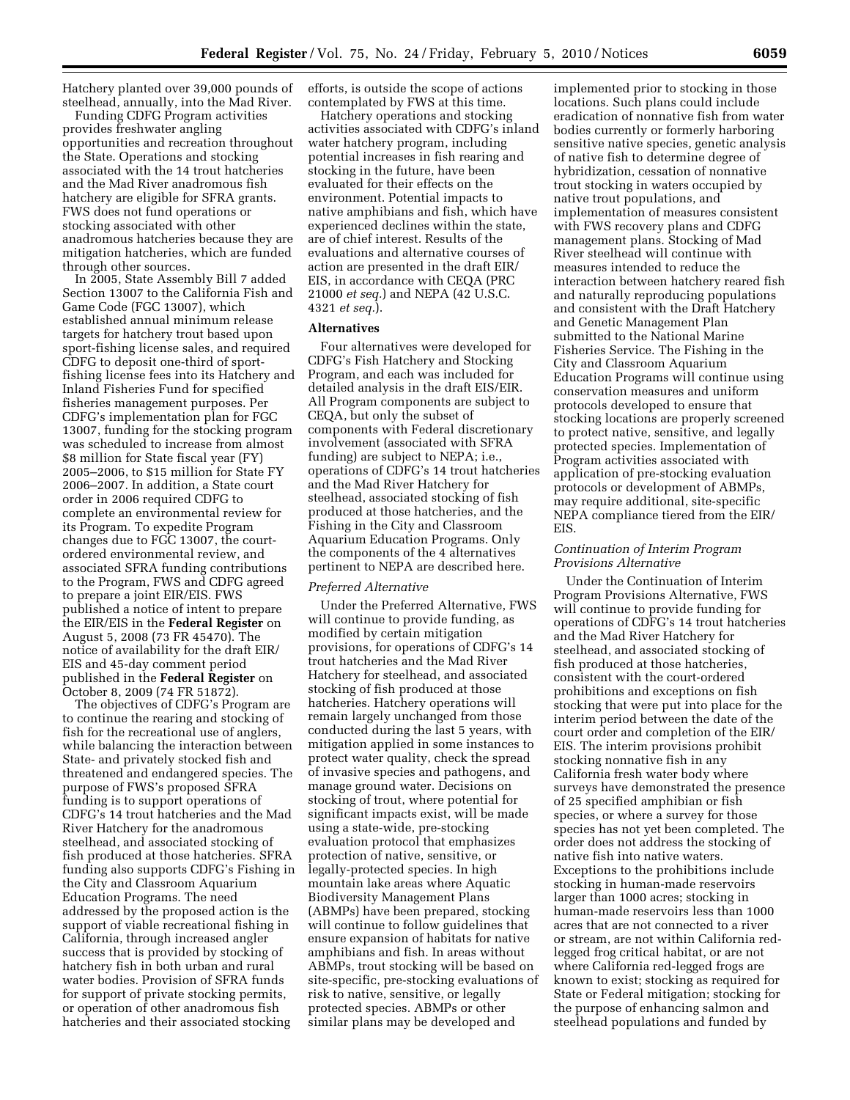Hatchery planted over 39,000 pounds of steelhead, annually, into the Mad River.

Funding CDFG Program activities provides freshwater angling opportunities and recreation throughout the State. Operations and stocking associated with the 14 trout hatcheries and the Mad River anadromous fish hatchery are eligible for SFRA grants. FWS does not fund operations or stocking associated with other anadromous hatcheries because they are mitigation hatcheries, which are funded through other sources.

In 2005, State Assembly Bill 7 added Section 13007 to the California Fish and Game Code (FGC 13007), which established annual minimum release targets for hatchery trout based upon sport-fishing license sales, and required CDFG to deposit one-third of sportfishing license fees into its Hatchery and Inland Fisheries Fund for specified fisheries management purposes. Per CDFG's implementation plan for FGC 13007, funding for the stocking program was scheduled to increase from almost \$8 million for State fiscal year (FY) 2005–2006, to \$15 million for State FY 2006–2007. In addition, a State court order in 2006 required CDFG to complete an environmental review for its Program. To expedite Program changes due to FGC 13007, the courtordered environmental review, and associated SFRA funding contributions to the Program, FWS and CDFG agreed to prepare a joint EIR/EIS. FWS published a notice of intent to prepare the EIR/EIS in the **Federal Register** on August 5, 2008 (73 FR 45470). The notice of availability for the draft EIR/ EIS and 45-day comment period published in the **Federal Register** on October 8, 2009 (74 FR 51872).

The objectives of CDFG's Program are to continue the rearing and stocking of fish for the recreational use of anglers, while balancing the interaction between State- and privately stocked fish and threatened and endangered species. The purpose of FWS's proposed SFRA funding is to support operations of CDFG's 14 trout hatcheries and the Mad River Hatchery for the anadromous steelhead, and associated stocking of fish produced at those hatcheries. SFRA funding also supports CDFG's Fishing in the City and Classroom Aquarium Education Programs. The need addressed by the proposed action is the support of viable recreational fishing in California, through increased angler success that is provided by stocking of hatchery fish in both urban and rural water bodies. Provision of SFRA funds for support of private stocking permits, or operation of other anadromous fish hatcheries and their associated stocking

efforts, is outside the scope of actions contemplated by FWS at this time.

Hatchery operations and stocking activities associated with CDFG's inland water hatchery program, including potential increases in fish rearing and stocking in the future, have been evaluated for their effects on the environment. Potential impacts to native amphibians and fish, which have experienced declines within the state, are of chief interest. Results of the evaluations and alternative courses of action are presented in the draft EIR/ EIS, in accordance with CEQA (PRC 21000 *et seq.*) and NEPA (42 U.S.C. 4321 *et seq.*).

#### **Alternatives**

Four alternatives were developed for CDFG's Fish Hatchery and Stocking Program, and each was included for detailed analysis in the draft EIS/EIR. All Program components are subject to CEQA, but only the subset of components with Federal discretionary involvement (associated with SFRA funding) are subject to NEPA; i.e., operations of CDFG's 14 trout hatcheries and the Mad River Hatchery for steelhead, associated stocking of fish produced at those hatcheries, and the Fishing in the City and Classroom Aquarium Education Programs. Only the components of the 4 alternatives pertinent to NEPA are described here.

#### *Preferred Alternative*

Under the Preferred Alternative, FWS will continue to provide funding, as modified by certain mitigation provisions, for operations of CDFG's 14 trout hatcheries and the Mad River Hatchery for steelhead, and associated stocking of fish produced at those hatcheries. Hatchery operations will remain largely unchanged from those conducted during the last 5 years, with mitigation applied in some instances to protect water quality, check the spread of invasive species and pathogens, and manage ground water. Decisions on stocking of trout, where potential for significant impacts exist, will be made using a state-wide, pre-stocking evaluation protocol that emphasizes protection of native, sensitive, or legally-protected species. In high mountain lake areas where Aquatic Biodiversity Management Plans (ABMPs) have been prepared, stocking will continue to follow guidelines that ensure expansion of habitats for native amphibians and fish. In areas without ABMPs, trout stocking will be based on site-specific, pre-stocking evaluations of risk to native, sensitive, or legally protected species. ABMPs or other similar plans may be developed and

implemented prior to stocking in those locations. Such plans could include eradication of nonnative fish from water bodies currently or formerly harboring sensitive native species, genetic analysis of native fish to determine degree of hybridization, cessation of nonnative trout stocking in waters occupied by native trout populations, and implementation of measures consistent with FWS recovery plans and CDFG management plans. Stocking of Mad River steelhead will continue with measures intended to reduce the interaction between hatchery reared fish and naturally reproducing populations and consistent with the Draft Hatchery and Genetic Management Plan submitted to the National Marine Fisheries Service. The Fishing in the City and Classroom Aquarium Education Programs will continue using conservation measures and uniform protocols developed to ensure that stocking locations are properly screened to protect native, sensitive, and legally protected species. Implementation of Program activities associated with application of pre-stocking evaluation protocols or development of ABMPs, may require additional, site-specific NEPA compliance tiered from the EIR/ EIS.

# *Continuation of Interim Program Provisions Alternative*

Under the Continuation of Interim Program Provisions Alternative, FWS will continue to provide funding for operations of CDFG's 14 trout hatcheries and the Mad River Hatchery for steelhead, and associated stocking of fish produced at those hatcheries, consistent with the court-ordered prohibitions and exceptions on fish stocking that were put into place for the interim period between the date of the court order and completion of the EIR/ EIS. The interim provisions prohibit stocking nonnative fish in any California fresh water body where surveys have demonstrated the presence of 25 specified amphibian or fish species, or where a survey for those species has not yet been completed. The order does not address the stocking of native fish into native waters. Exceptions to the prohibitions include stocking in human-made reservoirs larger than 1000 acres; stocking in human-made reservoirs less than 1000 acres that are not connected to a river or stream, are not within California redlegged frog critical habitat, or are not where California red-legged frogs are known to exist; stocking as required for State or Federal mitigation; stocking for the purpose of enhancing salmon and steelhead populations and funded by